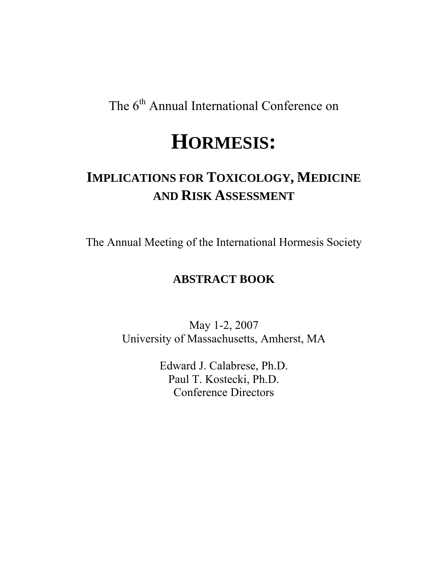The 6<sup>th</sup> Annual International Conference on

# **HORMESIS:**

# **IMPLICATIONS FOR TOXICOLOGY, MEDICINE AND RISK ASSESSMENT**

The Annual Meeting of the International Hormesis Society

# **ABSTRACT BOOK**

May 1-2, 2007 University of Massachusetts, Amherst, MA

> Edward J. Calabrese, Ph.D. Paul T. Kostecki, Ph.D. Conference Directors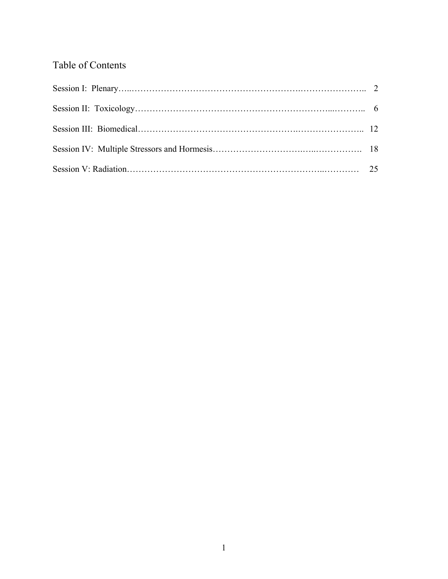# Table of Contents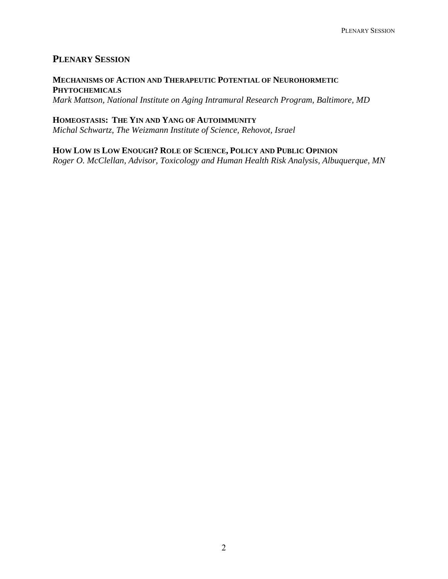# **PLENARY SESSION**

# **MECHANISMS OF ACTION AND THERAPEUTIC POTENTIAL OF NEUROHORMETIC PHYTOCHEMICALS**

*Mark Mattson, National Institute on Aging Intramural Research Program, Baltimore, MD* 

**HOMEOSTASIS: THE YIN AND YANG OF AUTOIMMUNITY** *Michal Schwartz, The Weizmann Institute of Science, Rehovot, Israel* 

**HOW LOW IS LOW ENOUGH? ROLE OF SCIENCE, POLICY AND PUBLIC OPINION** *Roger O. McClellan, Advisor, Toxicology and Human Health Risk Analysis, Albuquerque, MN*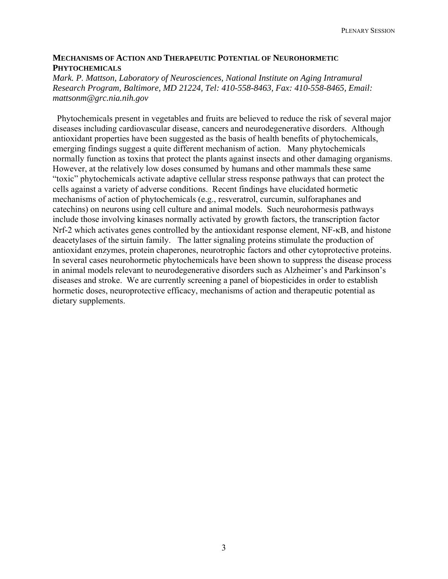#### **MECHANISMS OF ACTION AND THERAPEUTIC POTENTIAL OF NEUROHORMETIC PHYTOCHEMICALS**

#### *Mark. P. Mattson, Laboratory of Neurosciences, National Institute on Aging Intramural Research Program, Baltimore, MD 21224, Tel: 410-558-8463, Fax: 410-558-8465, Email: mattsonm@grc.nia.nih.gov*

 Phytochemicals present in vegetables and fruits are believed to reduce the risk of several major diseases including cardiovascular disease, cancers and neurodegenerative disorders. Although antioxidant properties have been suggested as the basis of health benefits of phytochemicals, emerging findings suggest a quite different mechanism of action. Many phytochemicals normally function as toxins that protect the plants against insects and other damaging organisms. However, at the relatively low doses consumed by humans and other mammals these same "toxic" phytochemicals activate adaptive cellular stress response pathways that can protect the cells against a variety of adverse conditions. Recent findings have elucidated hormetic mechanisms of action of phytochemicals (e.g., resveratrol, curcumin, sulforaphanes and catechins) on neurons using cell culture and animal models. Such neurohormesis pathways include those involving kinases normally activated by growth factors, the transcription factor Nrf-2 which activates genes controlled by the antioxidant response element, NF-κB, and histone deacetylases of the sirtuin family. The latter signaling proteins stimulate the production of antioxidant enzymes, protein chaperones, neurotrophic factors and other cytoprotective proteins. In several cases neurohormetic phytochemicals have been shown to suppress the disease process in animal models relevant to neurodegenerative disorders such as Alzheimer's and Parkinson's diseases and stroke. We are currently screening a panel of biopesticides in order to establish hormetic doses, neuroprotective efficacy, mechanisms of action and therapeutic potential as dietary supplements.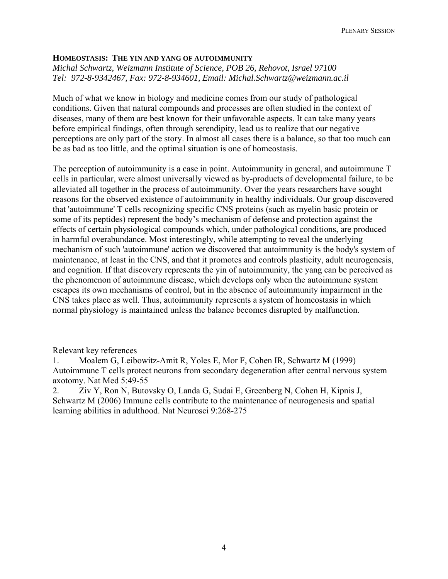#### **HOMEOSTASIS: THE YIN AND YANG OF AUTOIMMUNITY**

*Michal Schwartz, Weizmann Institute of Science, POB 26, Rehovot, Israel 97100 Tel: 972-8-9342467, Fax: 972-8-934601, Email: Michal.Schwartz@weizmann.ac.il* 

Much of what we know in biology and medicine comes from our study of pathological conditions. Given that natural compounds and processes are often studied in the context of diseases, many of them are best known for their unfavorable aspects. It can take many years before empirical findings, often through serendipity, lead us to realize that our negative perceptions are only part of the story. In almost all cases there is a balance, so that too much can be as bad as too little, and the optimal situation is one of homeostasis.

The perception of autoimmunity is a case in point. Autoimmunity in general, and autoimmune T cells in particular, were almost universally viewed as by-products of developmental failure, to be alleviated all together in the process of autoimmunity. Over the years researchers have sought reasons for the observed existence of autoimmunity in healthy individuals. Our group discovered that 'autoimmune' T cells recognizing specific CNS proteins (such as myelin basic protein or some of its peptides) represent the body's mechanism of defense and protection against the effects of certain physiological compounds which, under pathological conditions, are produced in harmful overabundance. Most interestingly, while attempting to reveal the underlying mechanism of such 'autoimmune' action we discovered that autoimmunity is the body's system of maintenance, at least in the CNS, and that it promotes and controls plasticity, adult neurogenesis, and cognition. If that discovery represents the yin of autoimmunity, the yang can be perceived as the phenomenon of autoimmune disease, which develops only when the autoimmune system escapes its own mechanisms of control, but in the absence of autoimmunity impairment in the CNS takes place as well. Thus, autoimmunity represents a system of homeostasis in which normal physiology is maintained unless the balance becomes disrupted by malfunction.

Relevant key references

1. Moalem G, Leibowitz-Amit R, Yoles E, Mor F, Cohen IR, Schwartz M (1999) Autoimmune T cells protect neurons from secondary degeneration after central nervous system axotomy. Nat Med 5:49-55

2. Ziv Y, Ron N, Butovsky O, Landa G, Sudai E, Greenberg N, Cohen H, Kipnis J, Schwartz M (2006) Immune cells contribute to the maintenance of neurogenesis and spatial learning abilities in adulthood. Nat Neurosci 9:268-275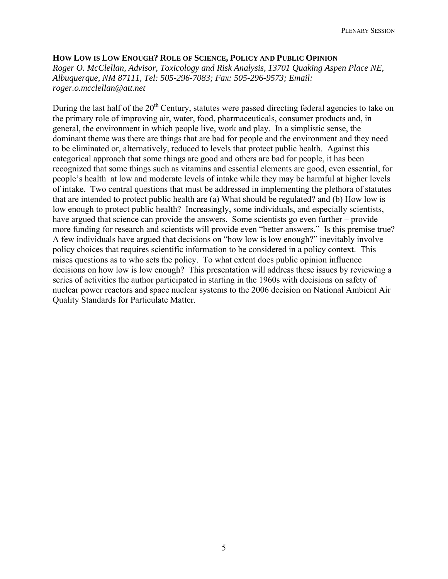#### **HOW LOW IS LOW ENOUGH? ROLE OF SCIENCE, POLICY AND PUBLIC OPINION**

*Roger O. McClellan, Advisor, Toxicology and Risk Analysis, 13701 Quaking Aspen Place NE, Albuquerque, NM 87111, Tel: 505-296-7083; Fax: 505-296-9573; Email: [roger.o.mcclellan@att.net](mailto:roger.o.mcclellan@att.net)*

During the last half of the 20<sup>th</sup> Century, statutes were passed directing federal agencies to take on the primary role of improving air, water, food, pharmaceuticals, consumer products and, in general, the environment in which people live, work and play. In a simplistic sense, the dominant theme was there are things that are bad for people and the environment and they need to be eliminated or, alternatively, reduced to levels that protect public health. Against this categorical approach that some things are good and others are bad for people, it has been recognized that some things such as vitamins and essential elements are good, even essential, for people's health at low and moderate levels of intake while they may be harmful at higher levels of intake. Two central questions that must be addressed in implementing the plethora of statutes that are intended to protect public health are (a) What should be regulated? and (b) How low is low enough to protect public health? Increasingly, some individuals, and especially scientists, have argued that science can provide the answers. Some scientists go even further – provide more funding for research and scientists will provide even "better answers." Is this premise true? A few individuals have argued that decisions on "how low is low enough?" inevitably involve policy choices that requires scientific information to be considered in a policy context. This raises questions as to who sets the policy. To what extent does public opinion influence decisions on how low is low enough? This presentation will address these issues by reviewing a series of activities the author participated in starting in the 1960s with decisions on safety of nuclear power reactors and space nuclear systems to the 2006 decision on National Ambient Air Quality Standards for Particulate Matter.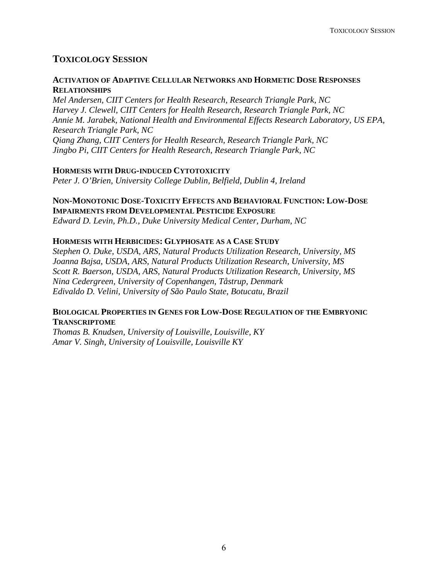# **TOXICOLOGY SESSION**

#### **ACTIVATION OF ADAPTIVE CELLULAR NETWORKS AND HORMETIC DOSE RESPONSES RELATIONSHIPS**

*Mel Andersen, CIIT Centers for Health Research, Research Triangle Park, NC Harvey J. Clewell, CIIT Centers for Health Research, Research Triangle Park, NC Annie M. Jarabek, National Health and Environmental Effects Research Laboratory, US EPA, Research Triangle Park, NC Qiang Zhang, CIIT Centers for Health Research, Research Triangle Park, NC Jingbo Pi, CIIT Centers for Health Research, Research Triangle Park, NC* 

#### **HORMESIS WITH DRUG-INDUCED CYTOTOXICITY**

*Peter J. O'Brien, University College Dublin, Belfield, Dublin 4, Ireland* 

## **NON-MONOTONIC DOSE-TOXICITY EFFECTS AND BEHAVIORAL FUNCTION: LOW-DOSE IMPAIRMENTS FROM DEVELOPMENTAL PESTICIDE EXPOSURE**

*Edward D. Levin, Ph.D., Duke University Medical Center, Durham, NC* 

#### **HORMESIS WITH HERBICIDES: GLYPHOSATE AS A CASE STUDY**

*Stephen O. Duke, USDA, ARS, Natural Products Utilization Research, University, MS Joanna Bajsa, USDA, ARS, Natural Products Utilization Research, University, MS Scott R. Baerson, USDA, ARS, Natural Products Utilization Research, University, MS Nina Cedergreen, University of Copenhangen, Tåstrup, Denmark Edivaldo D. Velini, University of São Paulo State, Botucatu, Brazil* 

#### **BIOLOGICAL PROPERTIES IN GENES FOR LOW-DOSE REGULATION OF THE EMBRYONIC TRANSCRIPTOME**

*Thomas B. Knudsen, University of Louisville, Louisville, KY Amar V. Singh, University of Louisville, Louisville KY*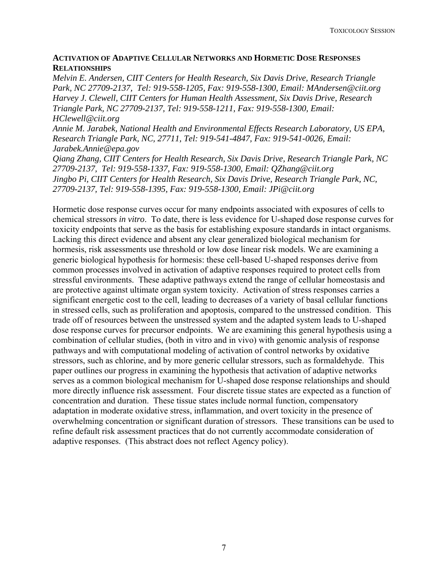#### **ACTIVATION OF ADAPTIVE CELLULAR NETWORKS AND HORMETIC DOSE RESPONSES RELATIONSHIPS**

*Melvin E. Andersen, CIIT Centers for Health Research, Six Davis Drive, Research Triangle Park, NC 27709-2137, Tel: 919-558-1205, Fax: 919-558-1300, Email: [MAndersen@ciit.org](mailto:MAndersen@ciit.org) Harvey J. Clewell, CIIT Centers for Human Health Assessment, Six Davis Drive, Research Triangle Park, NC 27709-2137, Tel: 919-558-1211, Fax: 919-558-1300, Email: [HClewell@ciit.org](mailto:HClewell@ciit.org)*

*Annie M. Jarabek, National Health and Environmental Effects Research Laboratory, US EPA, Research Triangle Park, NC, 27711, Tel: 919-541-4847, Fax: 919-541-0026, Email: [Jarabek.Annie@epa.gov](mailto:Jarabek.Annie@epa.gov)*

*Qiang Zhang, CIIT Centers for Health Research, Six Davis Drive, Research Triangle Park, NC 27709-2137, Tel: 919-558-1337, Fax: 919-558-1300, Email: [QZhang@ciit.org](mailto:QZhang@ciit.org) Jingbo Pi, CIIT Centers for Health Research, Six Davis Drive, Research Triangle Park, NC, 27709-2137, Tel: 919-558-1395, Fax: 919-558-1300, Email: [JPi@ciit.org](mailto:JPi@ciit.org)*

Hormetic dose response curves occur for many endpoints associated with exposures of cells to chemical stressors *in vitro*. To date, there is less evidence for U-shaped dose response curves for toxicity endpoints that serve as the basis for establishing exposure standards in intact organisms. Lacking this direct evidence and absent any clear generalized biological mechanism for hormesis, risk assessments use threshold or low dose linear risk models. We are examining a generic biological hypothesis for hormesis: these cell-based U-shaped responses derive from common processes involved in activation of adaptive responses required to protect cells from stressful environments. These adaptive pathways extend the range of cellular homeostasis and are protective against ultimate organ system toxicity. Activation of stress responses carries a significant energetic cost to the cell, leading to decreases of a variety of basal cellular functions in stressed cells, such as proliferation and apoptosis, compared to the unstressed condition. This trade off of resources between the unstressed system and the adapted system leads to U-shaped dose response curves for precursor endpoints. We are examining this general hypothesis using a combination of cellular studies, (both in vitro and in vivo) with genomic analysis of response pathways and with computational modeling of activation of control networks by oxidative stressors, such as chlorine, and by more generic cellular stressors, such as formaldehyde. This paper outlines our progress in examining the hypothesis that activation of adaptive networks serves as a common biological mechanism for U-shaped dose response relationships and should more directly influence risk assessment. Four discrete tissue states are expected as a function of concentration and duration. These tissue states include normal function, compensatory adaptation in moderate oxidative stress, inflammation, and overt toxicity in the presence of overwhelming concentration or significant duration of stressors. These transitions can be used to refine default risk assessment practices that do not currently accommodate consideration of adaptive responses. (This abstract does not reflect Agency policy).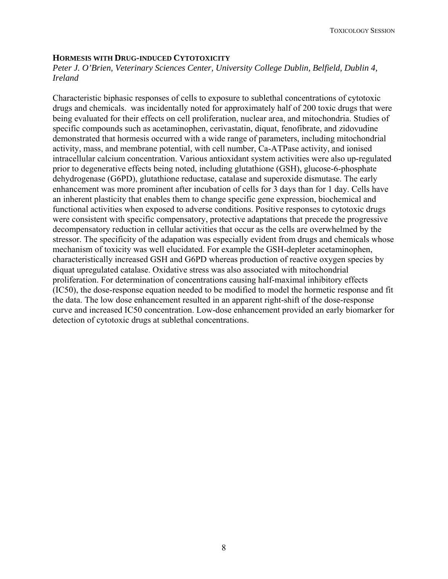#### **HORMESIS WITH DRUG-INDUCED CYTOTOXICITY**

*Peter J. O'Brien, Veterinary Sciences Center, University College Dublin, Belfield, Dublin 4, Ireland* 

Characteristic biphasic responses of cells to exposure to sublethal concentrations of cytotoxic drugs and chemicals. was incidentally noted for approximately half of 200 toxic drugs that were being evaluated for their effects on cell proliferation, nuclear area, and mitochondria. Studies of specific compounds such as acetaminophen, cerivastatin, diquat, fenofibrate, and zidovudine demonstrated that hormesis occurred with a wide range of parameters, including mitochondrial activity, mass, and membrane potential, with cell number, Ca-ATPase activity, and ionised intracellular calcium concentration. Various antioxidant system activities were also up-regulated prior to degenerative effects being noted, including glutathione (GSH), glucose-6-phosphate dehydrogenase (G6PD), glutathione reductase, catalase and superoxide dismutase. The early enhancement was more prominent after incubation of cells for 3 days than for 1 day. Cells have an inherent plasticity that enables them to change specific gene expression, biochemical and functional activities when exposed to adverse conditions. Positive responses to cytotoxic drugs were consistent with specific compensatory, protective adaptations that precede the progressive decompensatory reduction in cellular activities that occur as the cells are overwhelmed by the stressor. The specificity of the adapation was especially evident from drugs and chemicals whose mechanism of toxicity was well elucidated. For example the GSH-depleter acetaminophen, characteristically increased GSH and G6PD whereas production of reactive oxygen species by diquat upregulated catalase. Oxidative stress was also associated with mitochondrial proliferation. For determination of concentrations causing half-maximal inhibitory effects (IC50), the dose-response equation needed to be modified to model the hormetic response and fit the data. The low dose enhancement resulted in an apparent right-shift of the dose-response curve and increased IC50 concentration. Low-dose enhancement provided an early biomarker for detection of cytotoxic drugs at sublethal concentrations.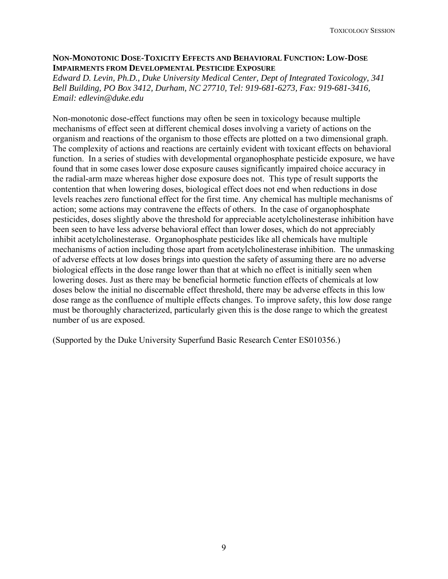#### **NON-MONOTONIC DOSE-TOXICITY EFFECTS AND BEHAVIORAL FUNCTION: LOW-DOSE IMPAIRMENTS FROM DEVELOPMENTAL PESTICIDE EXPOSURE**

*Edward D. Levin, Ph.D., Duke University Medical Center, Dept of Integrated Toxicology, 341 Bell Building, PO Box 3412, Durham, NC 27710, Tel: 919-681-6273, Fax: 919-681-3416, Email: edlevin@duke.edu* 

Non-monotonic dose-effect functions may often be seen in toxicology because multiple mechanisms of effect seen at different chemical doses involving a variety of actions on the organism and reactions of the organism to those effects are plotted on a two dimensional graph. The complexity of actions and reactions are certainly evident with toxicant effects on behavioral function. In a series of studies with developmental organophosphate pesticide exposure, we have found that in some cases lower dose exposure causes significantly impaired choice accuracy in the radial-arm maze whereas higher dose exposure does not. This type of result supports the contention that when lowering doses, biological effect does not end when reductions in dose levels reaches zero functional effect for the first time. Any chemical has multiple mechanisms of action; some actions may contravene the effects of others. In the case of organophosphate pesticides, doses slightly above the threshold for appreciable acetylcholinesterase inhibition have been seen to have less adverse behavioral effect than lower doses, which do not appreciably inhibit acetylcholinesterase. Organophosphate pesticides like all chemicals have multiple mechanisms of action including those apart from acetylcholinesterase inhibition. The unmasking of adverse effects at low doses brings into question the safety of assuming there are no adverse biological effects in the dose range lower than that at which no effect is initially seen when lowering doses. Just as there may be beneficial hormetic function effects of chemicals at low doses below the initial no discernable effect threshold, there may be adverse effects in this low dose range as the confluence of multiple effects changes. To improve safety, this low dose range must be thoroughly characterized, particularly given this is the dose range to which the greatest number of us are exposed.

(Supported by the Duke University Superfund Basic Research Center ES010356.)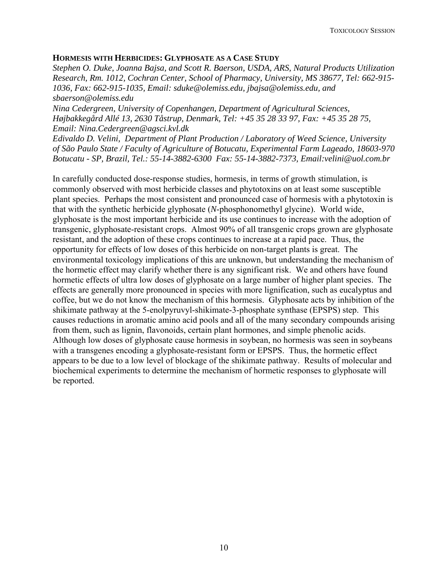#### **HORMESIS WITH HERBICIDES: GLYPHOSATE AS A CASE STUDY**

*Stephen O. Duke, Joanna Bajsa, and Scott R. Baerson, USDA, ARS, Natural Products Utilization Research, Rm. 1012, Cochran Center, School of Pharmacy, University, MS 38677, Tel: 662-915- 1036, Fax: 662-915-1035, Email: sduke@olemiss.edu, jbajsa@olemiss.edu, and sbaerson@olemiss.edu* 

*Nina Cedergreen, University of Copenhangen, Department of Agricultural Sciences, Højbakkegård Allé 13, 2630 Tåstrup, Denmark, Tel: +45 35 28 33 97, Fax: +45 35 28 75, Email: Nina.Cedergreen@agsci.kvl.dk* 

*Edivaldo D. Velini, Department of Plant Production / Laboratory of Weed Science, University of São Paulo State / Faculty of Agriculture of Botucatu, Experimental Farm Lageado, 18603-970 Botucatu - SP, Brazil, Tel.: 55-14-3882-6300 Fax: 55-14-3882-7373, Email:velini@uol.com.br*

In carefully conducted dose-response studies, hormesis, in terms of growth stimulation, is commonly observed with most herbicide classes and phytotoxins on at least some susceptible plant species. Perhaps the most consistent and pronounced case of hormesis with a phytotoxin is that with the synthetic herbicide glyphosate (*N*-phosphonomethyl glycine). World wide, glyphosate is the most important herbicide and its use continues to increase with the adoption of transgenic, glyphosate-resistant crops. Almost 90% of all transgenic crops grown are glyphosate resistant, and the adoption of these crops continues to increase at a rapid pace. Thus, the opportunity for effects of low doses of this herbicide on non-target plants is great. The environmental toxicology implications of this are unknown, but understanding the mechanism of the hormetic effect may clarify whether there is any significant risk. We and others have found hormetic effects of ultra low doses of glyphosate on a large number of higher plant species. The effects are generally more pronounced in species with more lignification, such as eucalyptus and coffee, but we do not know the mechanism of this hormesis. Glyphosate acts by inhibition of the shikimate pathway at the 5-enolpyruvyl-shikimate-3-phosphate synthase (EPSPS) step. This causes reductions in aromatic amino acid pools and all of the many secondary compounds arising from them, such as lignin, flavonoids, certain plant hormones, and simple phenolic acids. Although low doses of glyphosate cause hormesis in soybean, no hormesis was seen in soybeans with a transgenes encoding a glyphosate-resistant form or EPSPS. Thus, the hormetic effect appears to be due to a low level of blockage of the shikimate pathway. Results of molecular and biochemical experiments to determine the mechanism of hormetic responses to glyphosate will be reported.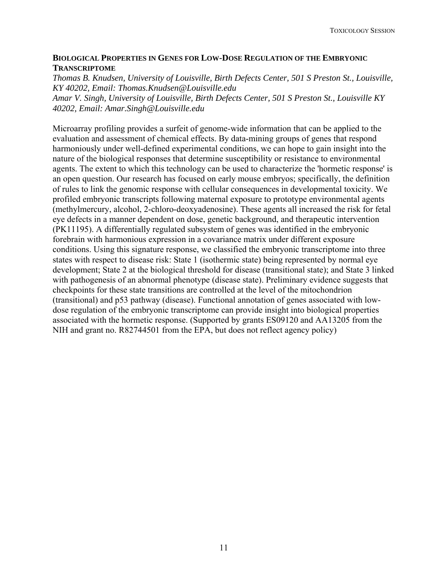#### **BIOLOGICAL PROPERTIES IN GENES FOR LOW-DOSE REGULATION OF THE EMBRYONIC TRANSCRIPTOME**

*Thomas B. Knudsen, University of Louisville, Birth Defects Center, 501 S Preston St., Louisville, KY 40202, Email: [Thomas.Knudsen@Louisville.edu](mailto:Thomas.Knudsen@Louisville.edu)* 

*Amar V. Singh, University of Louisville, Birth Defects Center, 501 S Preston St., Louisville KY 40202, Email: [Amar.Singh@Louisville.edu](mailto:Amar.Singh@Louisville.edu)*

Microarray profiling provides a surfeit of genome-wide information that can be applied to the evaluation and assessment of chemical effects. By data-mining groups of genes that respond harmoniously under well-defined experimental conditions, we can hope to gain insight into the nature of the biological responses that determine susceptibility or resistance to environmental agents. The extent to which this technology can be used to characterize the 'hormetic response' is an open question. Our research has focused on early mouse embryos; specifically, the definition of rules to link the genomic response with cellular consequences in developmental toxicity. We profiled embryonic transcripts following maternal exposure to prototype environmental agents (methylmercury, alcohol, 2-chloro-deoxyadenosine). These agents all increased the risk for fetal eye defects in a manner dependent on dose, genetic background, and therapeutic intervention (PK11195). A differentially regulated subsystem of genes was identified in the embryonic forebrain with harmonious expression in a covariance matrix under different exposure conditions. Using this signature response, we classified the embryonic transcriptome into three states with respect to disease risk: State 1 (isothermic state) being represented by normal eye development; State 2 at the biological threshold for disease (transitional state); and State 3 linked with pathogenesis of an abnormal phenotype (disease state). Preliminary evidence suggests that checkpoints for these state transitions are controlled at the level of the mitochondrion (transitional) and p53 pathway (disease). Functional annotation of genes associated with lowdose regulation of the embryonic transcriptome can provide insight into biological properties associated with the hormetic response. (Supported by grants ES09120 and AA13205 from the NIH and grant no. R82744501 from the EPA, but does not reflect agency policy)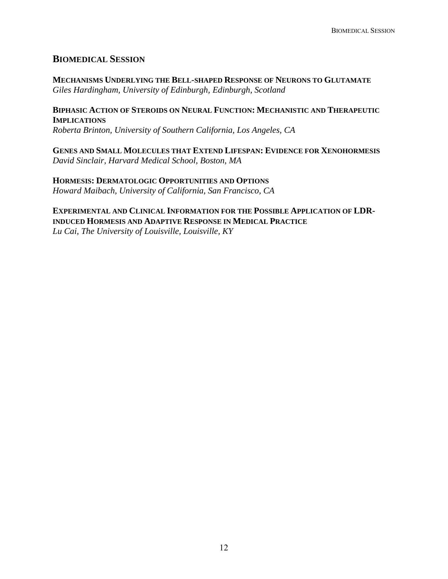### **BIOMEDICAL SESSION**

**MECHANISMS UNDERLYING THE BELL-SHAPED RESPONSE OF NEURONS TO GLUTAMATE** *Giles Hardingham, University of Edinburgh, Edinburgh, Scotland* 

**BIPHASIC ACTION OF STEROIDS ON NEURAL FUNCTION: MECHANISTIC AND THERAPEUTIC IMPLICATIONS** *Roberta Brinton, University of Southern California, Los Angeles, CA* 

**GENES AND SMALL MOLECULES THAT EXTEND LIFESPAN: EVIDENCE FOR XENOHORMESIS**  *David Sinclair, Harvard Medical School, Boston, MA* 

**HORMESIS: DERMATOLOGIC OPPORTUNITIES AND OPTIONS**  *Howard Maibach, University of California, San Francisco, CA* 

**EXPERIMENTAL AND CLINICAL INFORMATION FOR THE POSSIBLE APPLICATION OF LDR-INDUCED HORMESIS AND ADAPTIVE RESPONSE IN MEDICAL PRACTICE**

*Lu Cai, The University of Louisville, Louisville, KY*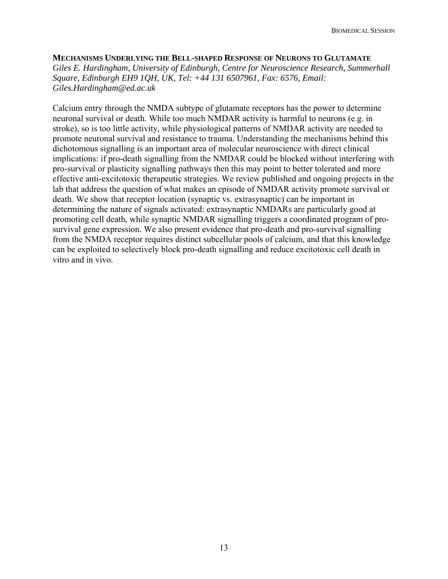**MECHANISMS UNDERLYING THE BELL-SHAPED RESPONSE OF NEURONS TO GLUTAMATE** *Giles E. Hardingham, University of Edinburgh, Centre for Neuroscience Research, Summerhall Square, Edinburgh EH9 1QH, UK, Tel: +44 131 6507961, Fax: 6576, Email: [Giles.Hardingham@ed.ac.uk](mailto:Giles.Hardingham@ed.ac.uk)*

Calcium entry through the NMDA subtype of glutamate receptors has the power to determine neuronal survival or death. While too much NMDAR activity is harmful to neurons (e.g. in stroke), so is too little activity, while physiological patterns of NMDAR activity are needed to promote neuronal survival and resistance to trauma. Understanding the mechanisms behind this dichotomous signalling is an important area of molecular neuroscience with direct clinical implications: if pro-death signalling from the NMDAR could be blocked without interfering with pro-survival or plasticity signalling pathways then this may point to better tolerated and more effective anti-excitotoxic therapeutic strategies. We review published and ongoing projects in the lab that address the question of what makes an episode of NMDAR activity promote survival or death. We show that receptor location (synaptic vs. extrasynaptic) can be important in determining the nature of signals activated: extrasynaptic NMDARs are particularly good at promoting cell death, while synaptic NMDAR signalling triggers a coordinated program of prosurvival gene expression. We also present evidence that pro-death and pro-survival signalling from the NMDA receptor requires distinct subcellular pools of calcium, and that this knowledge can be exploited to selectively block pro-death signalling and reduce excitotoxic cell death in vitro and in vivo.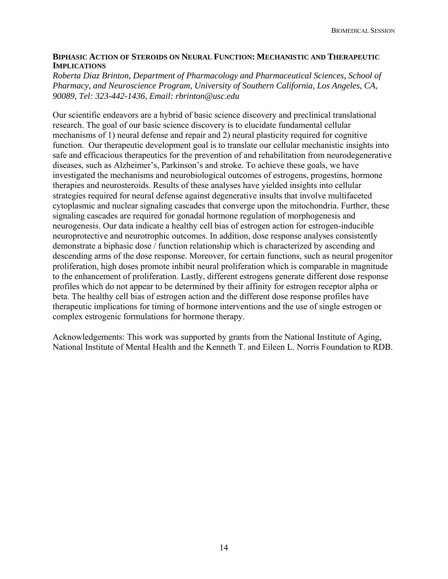#### **BIPHASIC ACTION OF STEROIDS ON NEURAL FUNCTION: MECHANISTIC AND THERAPEUTIC IMPLICATIONS**

*Roberta Diaz Brinton, Department of Pharmacology and Pharmaceutical Sciences, School of Pharmacy, and Neuroscience Program, University of Southern California, Los Angeles, CA, 90089, Tel: 323-442-1436, Email: rbrinton@usc.edu* 

Our scientific endeavors are a hybrid of basic science discovery and preclinical translational research. The goal of our basic science discovery is to elucidate fundamental cellular mechanisms of 1) neural defense and repair and 2) neural plasticity required for cognitive function. Our therapeutic development goal is to translate our cellular mechanistic insights into safe and efficacious therapeutics for the prevention of and rehabilitation from neurodegenerative diseases, such as Alzheimer's, Parkinson's and stroke. To achieve these goals, we have investigated the mechanisms and neurobiological outcomes of estrogens, progestins, hormone therapies and neurosteroids. Results of these analyses have yielded insights into cellular strategies required for neural defense against degenerative insults that involve multifaceted cytoplasmic and nuclear signaling cascades that converge upon the mitochondria. Further, these signaling cascades are required for gonadal hormone regulation of morphogenesis and neurogenesis. Our data indicate a healthy cell bias of estrogen action for estrogen-inducible neuroprotective and neurotrophic outcomes. In addition, dose response analyses consistently demonstrate a biphasic dose / function relationship which is characterized by ascending and descending arms of the dose response. Moreover, for certain functions, such as neural progenitor proliferation, high doses promote inhibit neural proliferation which is comparable in magnitude to the enhancement of proliferation. Lastly, different estrogens generate different dose response profiles which do not appear to be determined by their affinity for estrogen receptor alpha or beta. The healthy cell bias of estrogen action and the different dose response profiles have therapeutic implications for timing of hormone interventions and the use of single estrogen or complex estrogenic formulations for hormone therapy.

Acknowledgements: This work was supported by grants from the National Institute of Aging, National Institute of Mental Health and the Kenneth T. and Eileen L. Norris Foundation to RDB.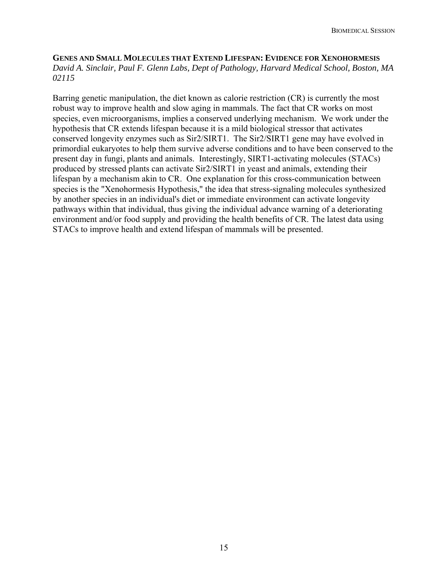**GENES AND SMALL MOLECULES THAT EXTEND LIFESPAN: EVIDENCE FOR XENOHORMESIS** *David A. Sinclair, Paul F. Glenn Labs, Dept of Pathology, Harvard Medical School, Boston, MA 02115* 

Barring genetic manipulation, the diet known as calorie restriction (CR) is currently the most robust way to improve health and slow aging in mammals. The fact that CR works on most species, even microorganisms, implies a conserved underlying mechanism. We work under the hypothesis that CR extends lifespan because it is a mild biological stressor that activates conserved longevity enzymes such as Sir2/SIRT1. The Sir2/SIRT1 gene may have evolved in primordial eukaryotes to help them survive adverse conditions and to have been conserved to the present day in fungi, plants and animals. Interestingly, SIRT1-activating molecules (STACs) produced by stressed plants can activate Sir2/SIRT1 in yeast and animals, extending their lifespan by a mechanism akin to CR. One explanation for this cross-communication between species is the "Xenohormesis Hypothesis," the idea that stress-signaling molecules synthesized by another species in an individual's diet or immediate environment can activate longevity pathways within that individual, thus giving the individual advance warning of a deteriorating environment and/or food supply and providing the health benefits of CR. The latest data using STACs to improve health and extend lifespan of mammals will be presented.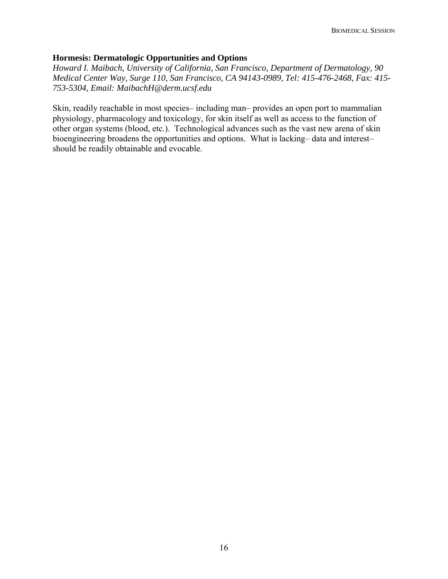#### **Hormesis: Dermatologic Opportunities and Options**

*Howard I. Maibach, University of California, San Francisco, Department of Dermatology, 90 Medical Center Way, Surge 110, San Francisco, CA 94143-0989, Tel: 415-476-2468, Fax: 415- 753-5304, Email: MaibachH@derm.ucsf.edu* 

Skin, readily reachable in most species– including man– provides an open port to mammalian physiology, pharmacology and toxicology, for skin itself as well as access to the function of other organ systems (blood, etc.). Technological advances such as the vast new arena of skin bioengineering broadens the opportunities and options. What is lacking– data and interest– should be readily obtainable and evocable.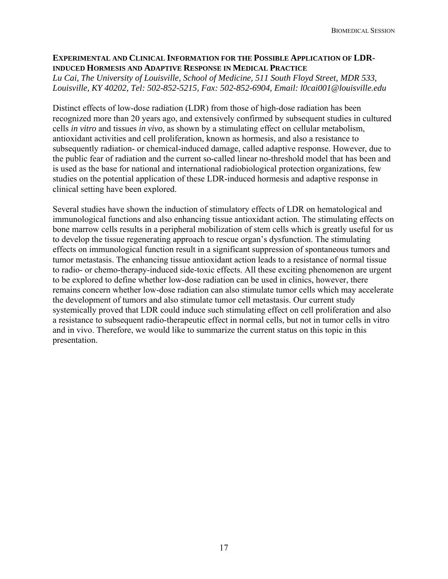#### **EXPERIMENTAL AND CLINICAL INFORMATION FOR THE POSSIBLE APPLICATION OF LDR-INDUCED HORMESIS AND ADAPTIVE RESPONSE IN MEDICAL PRACTICE**

*Lu Cai, The University of Louisville, School of Medicine, 511 South Floyd Street, MDR 533, Louisville, KY 40202, Tel: 502-852-5215, Fax: 502-852-6904, Email: l0cai001@louisville.edu* 

Distinct effects of low-dose radiation (LDR) from those of high-dose radiation has been recognized more than 20 years ago, and extensively confirmed by subsequent studies in cultured cells *in vitro* and tissues *in vivo,* as shown by a stimulating effect on cellular metabolism, antioxidant activities and cell proliferation, known as hormesis, and also a resistance to subsequently radiation- or chemical-induced damage, called adaptive response. However, due to the public fear of radiation and the current so-called linear no-threshold model that has been and is used as the base for national and international radiobiological protection organizations, few studies on the potential application of these LDR-induced hormesis and adaptive response in clinical setting have been explored.

Several studies have shown the induction of stimulatory effects of LDR on hematological and immunological functions and also enhancing tissue antioxidant action. The stimulating effects on bone marrow cells results in a peripheral mobilization of stem cells which is greatly useful for us to develop the tissue regenerating approach to rescue organ's dysfunction. The stimulating effects on immunological function result in a significant suppression of spontaneous tumors and tumor metastasis. The enhancing tissue antioxidant action leads to a resistance of normal tissue to radio- or chemo-therapy-induced side-toxic effects. All these exciting phenomenon are urgent to be explored to define whether low-dose radiation can be used in clinics, however, there remains concern whether low-dose radiation can also stimulate tumor cells which may accelerate the development of tumors and also stimulate tumor cell metastasis. Our current study systemically proved that LDR could induce such stimulating effect on cell proliferation and also a resistance to subsequent radio-therapeutic effect in normal cells, but not in tumor cells in vitro and in vivo. Therefore, we would like to summarize the current status on this topic in this presentation.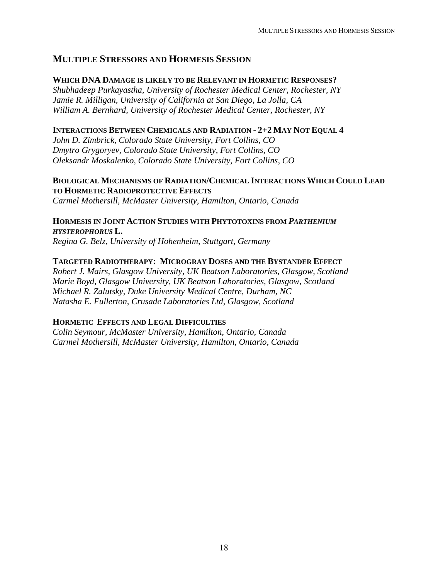## **MULTIPLE STRESSORS AND HORMESIS SESSION**

#### **WHICH DNA DAMAGE IS LIKELY TO BE RELEVANT IN HORMETIC RESPONSES?**

*Shubhadeep Purkayastha, University of Rochester Medical Center, Rochester, NY Jamie R. Milligan, University of California at San Diego, La Jolla, CA William A. Bernhard, University of Rochester Medical Center, Rochester, NY* 

#### **INTERACTIONS BETWEEN CHEMICALS AND RADIATION - 2+2 MAY NOT EQUAL 4**

*John D. Zimbrick, Colorado State University, Fort Collins, CO Dmytro Grygoryev, Colorado State University, Fort Collins, CO Oleksandr Moskalenko, Colorado State University, Fort Collins, CO* 

#### **BIOLOGICAL MECHANISMS OF RADIATION/CHEMICAL INTERACTIONS WHICH COULD LEAD TO HORMETIC RADIOPROTECTIVE EFFECTS**

*Carmel Mothersill, McMaster University, Hamilton, Ontario, Canada* 

**HORMESIS IN JOINT ACTION STUDIES WITH PHYTOTOXINS FROM** *PARTHENIUM HYSTEROPHORUS* **L.** 

*Regina G. Belz, University of Hohenheim, Stuttgart, Germany* 

#### **TARGETED RADIOTHERAPY: MICROGRAY DOSES AND THE BYSTANDER EFFECT**

*Robert J. Mairs, Glasgow University, UK Beatson Laboratories, Glasgow, Scotland Marie Boyd, Glasgow University, UK Beatson Laboratories, Glasgow, Scotland Michael R. Zalutsky, Duke University Medical Centre, Durham, NC Natasha E. Fullerton, Crusade Laboratories Ltd, Glasgow, Scotland* 

### **HORMETIC EFFECTS AND LEGAL DIFFICULTIES**

*Colin Seymour, McMaster University, Hamilton, Ontario, Canada Carmel Mothersill, McMaster University, Hamilton, Ontario, Canada*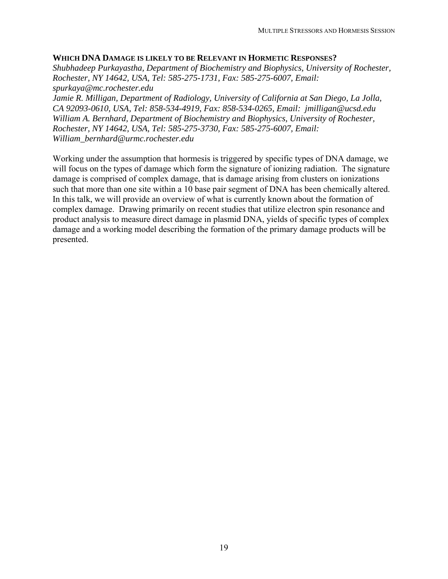#### **WHICH DNA DAMAGE IS LIKELY TO BE RELEVANT IN HORMETIC RESPONSES?**

*Shubhadeep Purkayastha, Department of Biochemistry and Biophysics, University of Rochester, Rochester, NY 14642, USA, Tel: 585-275-1731, Fax: 585-275-6007, Email: spurkaya@mc.rochester.edu* 

*Jamie R. Milligan, Department of Radiology, University of California at San Diego, La Jolla, CA 92093-0610, USA, Tel: 858-534-4919, Fax: 858-534-0265, Email: jmilligan@ucsd.edu William A. Bernhard, Department of Biochemistry and Biophysics, University of Rochester, Rochester, NY 14642, USA, Tel: 585-275-3730, Fax: 585-275-6007, Email: [William\\_bernhard@urmc.rochester.edu](mailto:William_bernhard@urmc.rochester.edu)*

Working under the assumption that hormesis is triggered by specific types of DNA damage, we will focus on the types of damage which form the signature of ionizing radiation. The signature damage is comprised of complex damage, that is damage arising from clusters on ionizations such that more than one site within a 10 base pair segment of DNA has been chemically altered. In this talk, we will provide an overview of what is currently known about the formation of complex damage. Drawing primarily on recent studies that utilize electron spin resonance and product analysis to measure direct damage in plasmid DNA, yields of specific types of complex damage and a working model describing the formation of the primary damage products will be presented.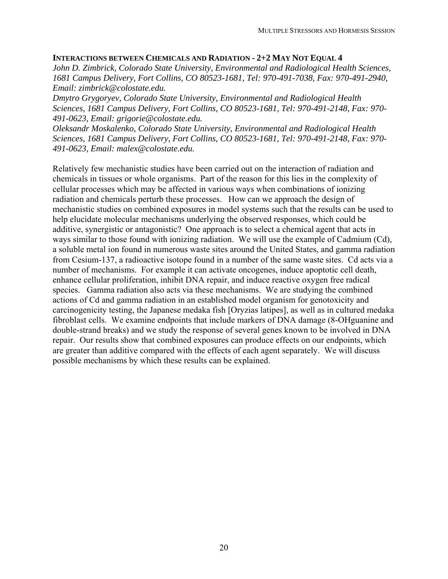#### **INTERACTIONS BETWEEN CHEMICALS AND RADIATION - 2+2 MAY NOT EQUAL 4**

*John D. Zimbrick, Colorado State University, Environmental and Radiological Health Sciences, 1681 Campus Delivery, Fort Collins, CO 80523-1681, Tel: 970-491-7038, Fax: 970-491-2940, Email: [zimbrick@colostate.edu.](mailto:zimbrick@colostate.edu)* 

*Dmytro Grygoryev, Colorado State University, Environmental and Radiological Health Sciences, 1681 Campus Delivery, Fort Collins, CO 80523-1681, Tel: 970-491-2148, Fax: 970- 491-0623, Email: [grigorie@colostate.edu.](mailto:grigorie@colostate.edu)* 

*Oleksandr Moskalenko, Colorado State University, Environmental and Radiological Health Sciences, 1681 Campus Delivery, Fort Collins, CO 80523-1681, Tel: 970-491-2148, Fax: 970- 491-0623, Email: [malex@colostate.edu](mailto:malex@colostate.edu).* 

Relatively few mechanistic studies have been carried out on the interaction of radiation and chemicals in tissues or whole organisms. Part of the reason for this lies in the complexity of cellular processes which may be affected in various ways when combinations of ionizing radiation and chemicals perturb these processes. How can we approach the design of mechanistic studies on combined exposures in model systems such that the results can be used to help elucidate molecular mechanisms underlying the observed responses, which could be additive, synergistic or antagonistic? One approach is to select a chemical agent that acts in ways similar to those found with ionizing radiation. We will use the example of Cadmium (Cd), a soluble metal ion found in numerous waste sites around the United States, and gamma radiation from Cesium-137, a radioactive isotope found in a number of the same waste sites. Cd acts via a number of mechanisms. For example it can activate oncogenes, induce apoptotic cell death, enhance cellular proliferation, inhibit DNA repair, and induce reactive oxygen free radical species. Gamma radiation also acts via these mechanisms. We are studying the combined actions of Cd and gamma radiation in an established model organism for genotoxicity and carcinogenicity testing, the Japanese medaka fish [Oryzias latipes], as well as in cultured medaka fibroblast cells. We examine endpoints that include markers of DNA damage (8-OHguanine and double-strand breaks) and we study the response of several genes known to be involved in DNA repair. Our results show that combined exposures can produce effects on our endpoints, which are greater than additive compared with the effects of each agent separately. We will discuss possible mechanisms by which these results can be explained.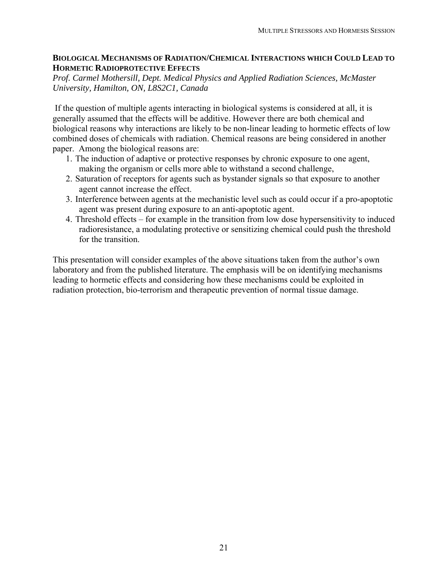#### **BIOLOGICAL MECHANISMS OF RADIATION/CHEMICAL INTERACTIONS WHICH COULD LEAD TO HORMETIC RADIOPROTECTIVE EFFECTS**

*Prof. Carmel Mothersill, Dept. Medical Physics and Applied Radiation Sciences, McMaster University, Hamilton, ON, L8S2C1, Canada* 

 If the question of multiple agents interacting in biological systems is considered at all, it is generally assumed that the effects will be additive. However there are both chemical and biological reasons why interactions are likely to be non-linear leading to hormetic effects of low combined doses of chemicals with radiation. Chemical reasons are being considered in another paper. Among the biological reasons are:

- 1. The induction of adaptive or protective responses by chronic exposure to one agent, making the organism or cells more able to withstand a second challenge,
- 2. Saturation of receptors for agents such as bystander signals so that exposure to another agent cannot increase the effect.
- 3. Interference between agents at the mechanistic level such as could occur if a pro-apoptotic agent was present during exposure to an anti-apoptotic agent.
- 4. Threshold effects for example in the transition from low dose hypersensitivity to induced radioresistance, a modulating protective or sensitizing chemical could push the threshold for the transition.

This presentation will consider examples of the above situations taken from the author's own laboratory and from the published literature. The emphasis will be on identifying mechanisms leading to hormetic effects and considering how these mechanisms could be exploited in radiation protection, bio-terrorism and therapeutic prevention of normal tissue damage.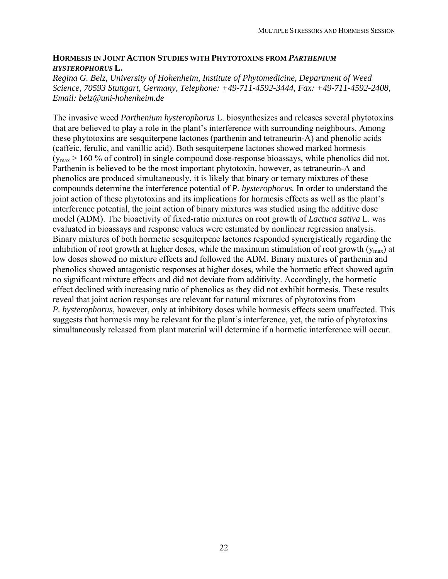#### **HORMESIS IN JOINT ACTION STUDIES WITH PHYTOTOXINS FROM** *PARTHENIUM HYSTEROPHORUS* **L.**

*Regina G. Belz, University of Hohenheim, Institute of Phytomedicine, Department of Weed Science, 70593 Stuttgart, Germany, Telephone: +49-711-4592-3444, Fax: +49-711-4592-2408, Email: belz@uni-hohenheim.de* 

The invasive weed *Parthenium hysterophorus* L. biosynthesizes and releases several phytotoxins that are believed to play a role in the plant's interference with surrounding neighbours. Among these phytotoxins are sesquiterpene lactones (parthenin and tetraneurin-A) and phenolic acids (caffeic, ferulic, and vanillic acid). Both sesquiterpene lactones showed marked hormesis  $(y<sub>max</sub> > 160 %$  of control) in single compound dose-response bioassays, while phenolics did not. Parthenin is believed to be the most important phytotoxin, however, as tetraneurin-A and phenolics are produced simultaneously, it is likely that binary or ternary mixtures of these compounds determine the interference potential of *P. hysterophorus.* In order to understand the joint action of these phytotoxins and its implications for hormesis effects as well as the plant's interference potential, the joint action of binary mixtures was studied using the additive dose model (ADM). The bioactivity of fixed-ratio mixtures on root growth of *Lactuca sativa* L. was evaluated in bioassays and response values were estimated by nonlinear regression analysis. Binary mixtures of both hormetic sesquiterpene lactones responded synergistically regarding the inhibition of root growth at higher doses, while the maximum stimulation of root growth  $(y<sub>max</sub>)$  at low doses showed no mixture effects and followed the ADM. Binary mixtures of parthenin and phenolics showed antagonistic responses at higher doses, while the hormetic effect showed again no significant mixture effects and did not deviate from additivity. Accordingly, the hormetic effect declined with increasing ratio of phenolics as they did not exhibit hormesis. These results reveal that joint action responses are relevant for natural mixtures of phytotoxins from *P. hysterophorus*, however, only at inhibitory doses while hormesis effects seem unaffected. This suggests that hormesis may be relevant for the plant's interference, yet, the ratio of phytotoxins simultaneously released from plant material will determine if a hormetic interference will occur.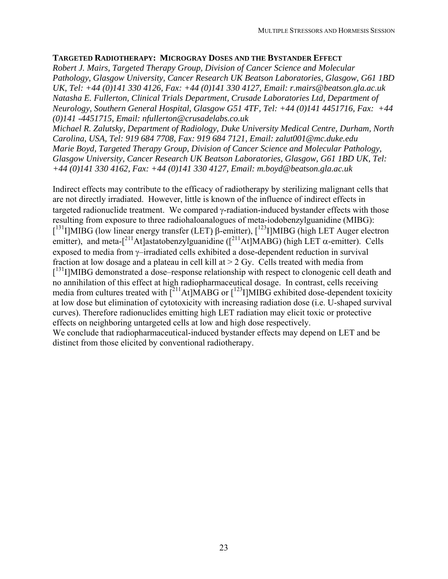#### **TARGETED RADIOTHERAPY: MICROGRAY DOSES AND THE BYSTANDER EFFECT**

*Robert J. Mairs, Targeted Therapy Group, Division of Cancer Science and Molecular Pathology, Glasgow University, Cancer Research UK Beatson Laboratories, Glasgow, G61 1BD UK, Tel: +44 (0)141 330 4126, Fax: +44 (0)141 330 4127, Email: [r.mairs@beatson.gla.ac.uk](mailto:r.mairs@beatson.gla.ac.uk) Natasha E. Fullerton, Clinical Trials Department, Crusade Laboratories Ltd, Department of Neurology, Southern General Hospital, Glasgow G51 4TF, Tel: +44 (0)141 4451716, Fax: +44 (0)141 -4451715, Email: nfullerton@crusadelabs.co.uk* 

*Michael R. Zalutsky, Department of Radiology, Duke University Medical Centre, Durham, North Carolina, USA, Tel: 919 684 7708, Fax: 919 684 7121, Email: zalut001@mc.duke.edu Marie Boyd, Targeted Therapy Group, Division of Cancer Science and Molecular Pathology, Glasgow University, Cancer Research UK Beatson Laboratories, Glasgow, G61 1BD UK, Tel: +44 (0)141 330 4162, Fax: +44 (0)141 330 4127, Email: [m.boyd@beatson.gla.ac.uk](mailto:r.mairs@beatson.gla.ac.uk)*

Indirect effects may contribute to the efficacy of radiotherapy by sterilizing malignant cells that are not directly irradiated. However, little is known of the influence of indirect effects in targeted radionuclide treatment. We compared γ-radiation-induced bystander effects with those resulting from exposure to three radiohaloanalogues of meta-iodobenzylguanidine (MIBG): <sup>[131</sup>Ι]MIBG (low linear energy transfer (LET) β-emitter), [<sup>123</sup>Ι]MIBG (high LET Auger electron emitter), and meta- $\int_0^{211}$ At]astatobenzylguanidine ( $\int_0^{211}$ At]MABG) (high LET  $\alpha$ -emitter). Cells exposed to media from γ–irradiated cells exhibited a dose-dependent reduction in survival fraction at low dosage and a plateau in cell kill at  $> 2$  Gy. Cells treated with media from [<sup>131</sup>I]MIBG demonstrated a dose–response relationship with respect to clonogenic cell death and no annihilation of this effect at high radiopharmaceutical dosage. In contrast, cells receiving media from cultures treated with [<sup>211</sup>At]MABG or [<sup>123</sup>I]MIBG exhibited dose-dependent toxicity at low dose but elimination of cytotoxicity with increasing radiation dose (i.e. U-shaped survival curves). Therefore radionuclides emitting high LET radiation may elicit toxic or protective effects on neighboring untargeted cells at low and high dose respectively. We conclude that radiopharmaceutical-induced bystander effects may depend on LET and be distinct from those elicited by conventional radiotherapy.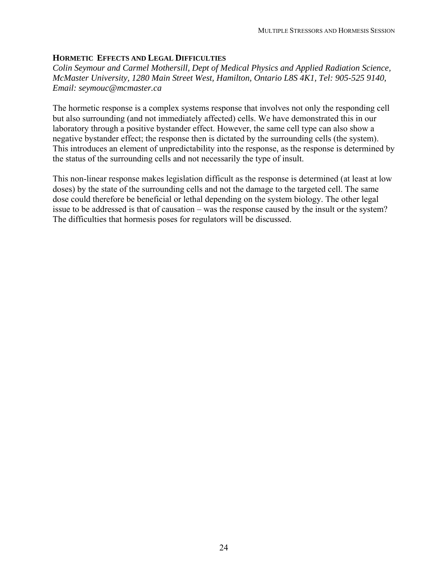### **HORMETIC EFFECTS AND LEGAL DIFFICULTIES**

*Colin Seymour and Carmel Mothersill, Dept of Medical Physics and Applied Radiation Science, McMaster University, 1280 Main Street West, Hamilton, Ontario L8S 4K1, Tel: 905-525 9140, Email: [seymouc@mcmaster.ca](mailto:seymouc@mcmaster.ca)*

The hormetic response is a complex systems response that involves not only the responding cell but also surrounding (and not immediately affected) cells. We have demonstrated this in our laboratory through a positive bystander effect. However, the same cell type can also show a negative bystander effect; the response then is dictated by the surrounding cells (the system). This introduces an element of unpredictability into the response, as the response is determined by the status of the surrounding cells and not necessarily the type of insult.

This non-linear response makes legislation difficult as the response is determined (at least at low doses) by the state of the surrounding cells and not the damage to the targeted cell. The same dose could therefore be beneficial or lethal depending on the system biology. The other legal issue to be addressed is that of causation – was the response caused by the insult or the system? The difficulties that hormesis poses for regulators will be discussed.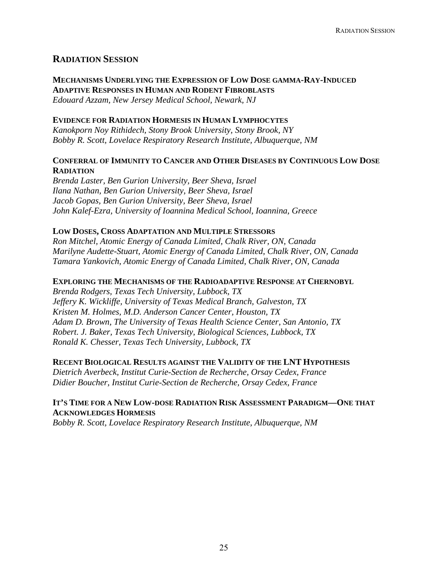## **RADIATION SESSION**

**MECHANISMS UNDERLYING THE EXPRESSION OF LOW DOSE GAMMA-RAY-INDUCED ADAPTIVE RESPONSES IN HUMAN AND RODENT FIBROBLASTS**  *Edouard Azzam, New Jersey Medical School, Newark, NJ* 

#### **EVIDENCE FOR RADIATION HORMESIS IN HUMAN LYMPHOCYTES**

*Kanokporn Noy Rithidech, Stony Brook University, Stony Brook, NY Bobby R. Scott, Lovelace Respiratory Research Institute, Albuquerque, NM* 

#### **CONFERRAL OF IMMUNITY TO CANCER AND OTHER DISEASES BY CONTINUOUS LOW DOSE RADIATION**

*Brenda Laster, Ben Gurion University, Beer Sheva, Israel Ilana Nathan, Ben Gurion University, Beer Sheva, Israel Jacob Gopas, Ben Gurion University, Beer Sheva, Israel John Kalef-Ezra, University of Ioannina Medical School, Ioannina, Greece* 

#### **LOW DOSES, CROSS ADAPTATION AND MULTIPLE STRESSORS**

*Ron Mitchel, Atomic Energy of Canada Limited, Chalk River, ON, Canada Marilyne Audette-Stuart, Atomic Energy of Canada Limited, Chalk River, ON, Canada Tamara Yankovich, Atomic Energy of Canada Limited, Chalk River, ON, Canada* 

#### **EXPLORING THE MECHANISMS OF THE RADIOADAPTIVE RESPONSE AT CHERNOBYL**

*Brenda Rodgers, Texas Tech University, Lubbock, TX Jeffery K. Wickliffe, University of Texas Medical Branch, Galveston, TX Kristen M. Holmes, M.D. Anderson Cancer Center, [Houston](http://www.houstonet.com/), TX Adam D. Brown, The University of Texas Health Science Center, San Antonio, TX Robert. J. Baker, Texas Tech University, Biological Sciences, Lubbock, TX Ronald K. Chesser, Texas Tech University, Lubbock, TX* 

#### **RECENT BIOLOGICAL RESULTS AGAINST THE VALIDITY OF THE LNT HYPOTHESIS**

*Dietrich Averbeck, Institut Curie-Section de Recherche, Orsay Cedex, France Didier Boucher, Institut Curie-Section de Recherche, Orsay Cedex, France* 

#### **IT'S TIME FOR A NEW LOW-DOSE RADIATION RISK ASSESSMENT PARADIGM—ONE THAT ACKNOWLEDGES HORMESIS**

*Bobby R. Scott, Lovelace Respiratory Research Institute, Albuquerque, NM*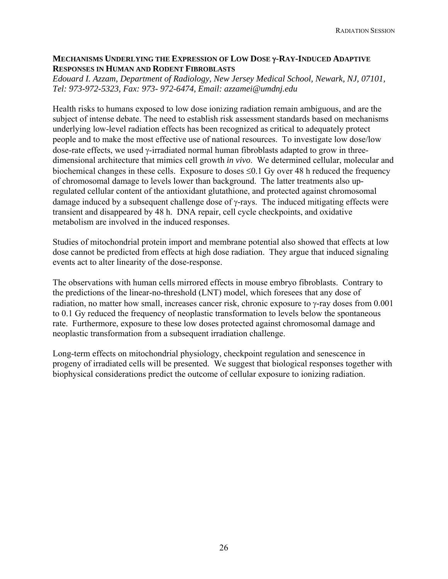#### **MECHANISMS UNDERLYING THE EXPRESSION OF LOW DOSE** γ**-RAY-INDUCED ADAPTIVE RESPONSES IN HUMAN AND RODENT FIBROBLASTS**

*Edouard I. Azzam, Department of Radiology, New Jersey Medical School, Newark, NJ, 07101, Tel: 973-972-5323, Fax: 973- 972-6474, Email: azzamei@umdnj.edu* 

Health risks to humans exposed to low dose ionizing radiation remain ambiguous, and are the subject of intense debate. The need to establish risk assessment standards based on mechanisms underlying low-level radiation effects has been recognized as critical to adequately protect people and to make the most effective use of national resources. To investigate low dose/low dose-rate effects, we used γ-irradiated normal human fibroblasts adapted to grow in threedimensional architecture that mimics cell growth *in vivo*. We determined cellular, molecular and biochemical changes in these cells. Exposure to doses  $\leq 0.1$  Gy over 48 h reduced the frequency of chromosomal damage to levels lower than background. The latter treatments also upregulated cellular content of the antioxidant glutathione, and protected against chromosomal damage induced by a subsequent challenge dose of γ-rays. The induced mitigating effects were transient and disappeared by 48 h. DNA repair, cell cycle checkpoints, and oxidative metabolism are involved in the induced responses.

Studies of mitochondrial protein import and membrane potential also showed that effects at low dose cannot be predicted from effects at high dose radiation. They argue that induced signaling events act to alter linearity of the dose-response.

The observations with human cells mirrored effects in mouse embryo fibroblasts. Contrary to the predictions of the linear-no-threshold (LNT) model, which foresees that any dose of radiation, no matter how small, increases cancer risk, chronic exposure to γ-ray doses from 0.001 to 0.1 Gy reduced the frequency of neoplastic transformation to levels below the spontaneous rate. Furthermore, exposure to these low doses protected against chromosomal damage and neoplastic transformation from a subsequent irradiation challenge.

Long-term effects on mitochondrial physiology, checkpoint regulation and senescence in progeny of irradiated cells will be presented. We suggest that biological responses together with biophysical considerations predict the outcome of cellular exposure to ionizing radiation.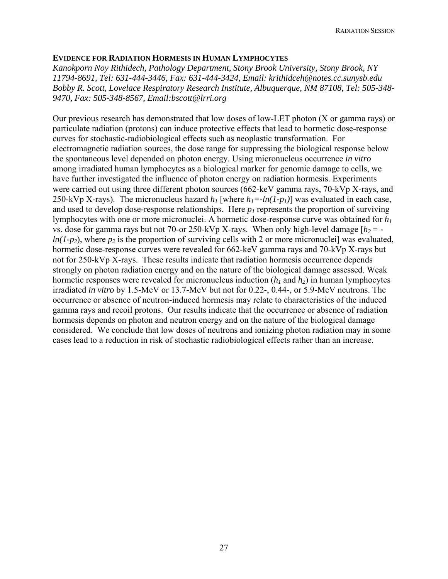#### **EVIDENCE FOR RADIATION HORMESIS IN HUMAN LYMPHOCYTES**

*Kanokporn Noy Rithidech, Pathology Department, Stony Brook University, Stony Brook, NY 11794-8691, Tel: 631-444-3446, Fax: 631-444-3424, Email: krithidceh@notes.cc.sunysb.edu Bobby R. Scott, Lovelace Respiratory Research Institute, Albuquerque, NM 87108, Tel: 505-348- 9470, Fax: 505-348-8567, Email:bscott@lrri.org* 

Our previous research has demonstrated that low doses of low-LET photon (X or gamma rays) or particulate radiation (protons) can induce protective effects that lead to hormetic dose-response curves for stochastic-radiobiological effects such as neoplastic transformation. For electromagnetic radiation sources, the dose range for suppressing the biological response below the spontaneous level depended on photon energy. Using micronucleus occurrence *in vitro*  among irradiated human lymphocytes as a biological marker for genomic damage to cells, we have further investigated the influence of photon energy on radiation hormesis. Experiments were carried out using three different photon sources (662-keV gamma rays, 70-kVp X-rays, and 250-kVp X-rays). The micronucleus hazard  $h_l$  [where  $h_l = -ln(1-p_l)$ ] was evaluated in each case, and used to develop dose-response relationships. Here  $p_l$  represents the proportion of surviving lymphocytes with one or more micronuclei. A hormetic dose-response curve was obtained for *h1* vs. dose for gamma rays but not 70-or 250-kVp X-rays. When only high-level damage  $[h_2 = -1]$  $ln(1-p_2)$ , where  $p_2$  is the proportion of surviving cells with 2 or more micronuclei] was evaluated, hormetic dose-response curves were revealed for 662-keV gamma rays and 70-kVp X-rays but not for 250-kVp X-rays. These results indicate that radiation hormesis occurrence depends strongly on photon radiation energy and on the nature of the biological damage assessed. Weak hormetic responses were revealed for micronucleus induction  $(h_1 \text{ and } h_2)$  in human lymphocytes irradiated *in vitro* by 1.5-MeV or 13.7-MeV but not for 0.22-, 0.44-, or 5.9-MeV neutrons. The occurrence or absence of neutron-induced hormesis may relate to characteristics of the induced gamma rays and recoil protons. Our results indicate that the occurrence or absence of radiation hormesis depends on photon and neutron energy and on the nature of the biological damage considered. We conclude that low doses of neutrons and ionizing photon radiation may in some cases lead to a reduction in risk of stochastic radiobiological effects rather than an increase.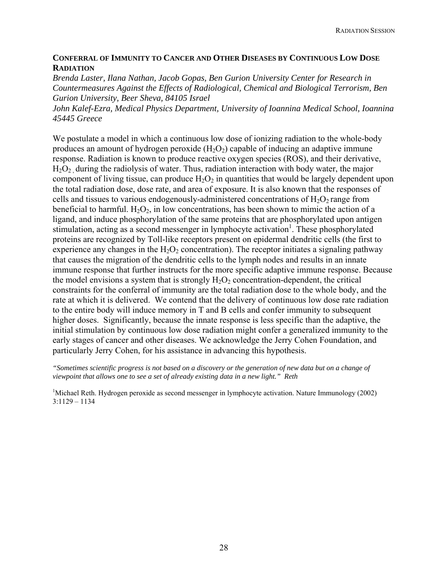#### **CONFERRAL OF IMMUNITY TO CANCER AND OTHER DISEASES BY CONTINUOUS LOW DOSE RADIATION**

*Brenda Laster, Ilana Nathan, Jacob Gopas, Ben Gurion University Center for Research in Countermeasures Against the Effects of Radiological, Chemical and Biological Terrorism, Ben Gurion University, Beer Sheva, 84105 Israel* 

*John Kalef-Ezra, Medical Physics Department, University of Ioannina Medical School, Ioannina 45445 Greece* 

We postulate a model in which a continuous low dose of ionizing radiation to the whole-body produces an amount of hydrogen peroxide  $(H_2O_2)$  capable of inducing an adaptive immune response. Radiation is known to produce reactive oxygen species (ROS), and their derivative,  $H<sub>2</sub>O<sub>2</sub>$ , during the radiolysis of water. Thus, radiation interaction with body water, the major component of living tissue, can produce  $H_2O_2$  in quantities that would be largely dependent upon the total radiation dose, dose rate, and area of exposure. It is also known that the responses of cells and tissues to various endogenously-administered concentrations of  $H_2O_2$  range from beneficial to harmful.  $H_2O_2$ , in low concentrations, has been shown to mimic the action of a ligand, and induce phosphorylation of the same proteins that are phosphorylated upon antigen stimulation, acting as a second messenger in lymphocyte activation<sup>1</sup>. These phosphorylated proteins are recognized by Toll-like receptors present on epidermal dendritic cells (the first to experience any changes in the  $H_2O_2$  concentration). The receptor initiates a signaling pathway that causes the migration of the dendritic cells to the lymph nodes and results in an innate immune response that further instructs for the more specific adaptive immune response. Because the model envisions a system that is strongly  $H_2O_2$  concentration-dependent, the critical constraints for the conferral of immunity are the total radiation dose to the whole body, and the rate at which it is delivered. We contend that the delivery of continuous low dose rate radiation to the entire body will induce memory in T and B cells and confer immunity to subsequent higher doses. Significantly, because the innate response is less specific than the adaptive, the initial stimulation by continuous low dose radiation might confer a generalized immunity to the early stages of cancer and other diseases. We acknowledge the Jerry Cohen Foundation, and particularly Jerry Cohen, for his assistance in advancing this hypothesis.

*"Sometimes scientific progress is not based on a discovery or the generation of new data but on a change of viewpoint that allows one to see a set of already existing data in a new light." Reth*

<sup>1</sup>Michael Reth. Hydrogen peroxide as second messenger in lymphocyte activation. Nature Immunology (2002) 3:1129 – 1134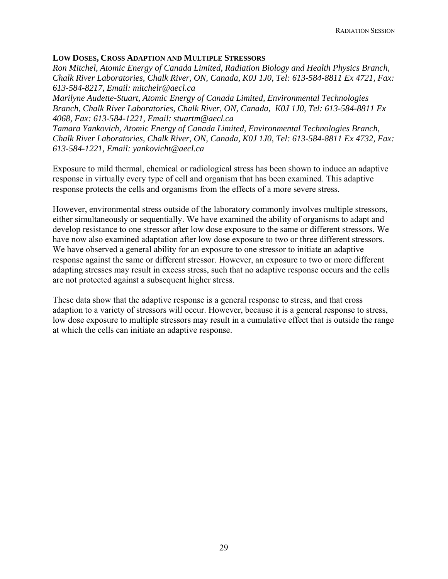#### **LOW DOSES, CROSS ADAPTION AND MULTIPLE STRESSORS**

*Ron Mitchel, Atomic Energy of Canada Limited, Radiation Biology and Health Physics Branch, Chalk River Laboratories, Chalk River, ON, Canada, K0J 1J0, Tel: 613-584-8811 Ex 4721, Fax: 613-584-8217, Email: mitchelr@aecl.ca* 

*Marilyne Audette-Stuart, Atomic Energy of Canada Limited, Environmental Technologies Branch, Chalk River Laboratories, Chalk River, ON, Canada, K0J 1J0, Tel: 613-584-8811 Ex 4068, Fax: 613-584-1221, Email: [stuartm@aecl.ca](mailto:stuartm@aecl.ca)*

*Tamara Yankovich, Atomic Energy of Canada Limited, Environmental Technologies Branch, Chalk River Laboratories, Chalk River, ON, Canada, K0J 1J0, Tel: 613-584-8811 Ex 4732, Fax: 613-584-1221, Email: yankovicht@aecl.ca* 

Exposure to mild thermal, chemical or radiological stress has been shown to induce an adaptive response in virtually every type of cell and organism that has been examined. This adaptive response protects the cells and organisms from the effects of a more severe stress.

However, environmental stress outside of the laboratory commonly involves multiple stressors, either simultaneously or sequentially. We have examined the ability of organisms to adapt and develop resistance to one stressor after low dose exposure to the same or different stressors. We have now also examined adaptation after low dose exposure to two or three different stressors. We have observed a general ability for an exposure to one stressor to initiate an adaptive response against the same or different stressor. However, an exposure to two or more different adapting stresses may result in excess stress, such that no adaptive response occurs and the cells are not protected against a subsequent higher stress.

These data show that the adaptive response is a general response to stress, and that cross adaption to a variety of stressors will occur. However, because it is a general response to stress, low dose exposure to multiple stressors may result in a cumulative effect that is outside the range at which the cells can initiate an adaptive response.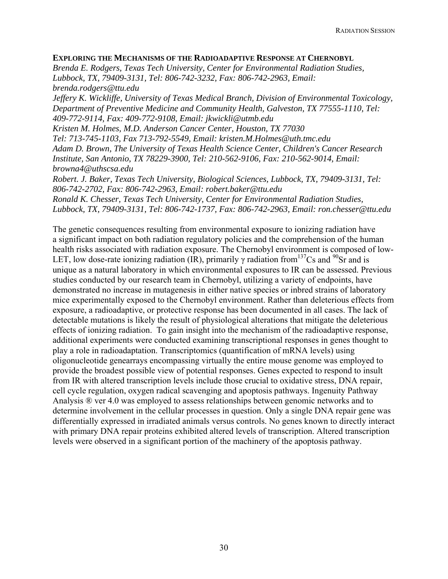#### **EXPLORING THE MECHANISMS OF THE RADIOADAPTIVE RESPONSE AT CHERNOBYL**

*Brenda E. Rodgers, Texas Tech University, Center for Environmental Radiation Studies, Lubbock, TX, 79409-3131, Tel: 806-742-3232, Fax: 806-742-2963, Email: brenda.rodgers@ttu.edu* 

*Jeffery K. Wickliffe, University of Texas Medical Branch, Division of Environmental Toxicology, Department of Preventive Medicine and Community Health, Galveston, TX 77555-1110, Tel: 409-772-9114, Fax: 409-772-9108, Email: jkwickli@utmb.edu* 

*Kristen M. Holmes, M.D. Anderson Cancer Center, [Houston](http://www.houstonet.com/), TX 77030 Tel: 713-745-1103, Fax 713-792-5549, Email: [kristen.M.Holmes@uth.tmc.edu](mailto:kristen.M.Holmes@uth.tmc.edu) Adam D. Brown, The University of Texas Health Science Center, Children's Cancer Research Institute, San Antonio, TX 78229-3900, Tel: 210-562-9106, Fax: 210-562-9014, Email: [browna4@uthscsa.edu](mailto:browna4@uthscsa.edu)*

*Robert. J. Baker, Texas Tech University, Biological Sciences, Lubbock, TX, 79409-3131, Tel: 806-742-2702, Fax: 806-742-2963, Email: robert.baker@ttu.edu Ronald K. Chesser, Texas Tech University, Center for Environmental Radiation Studies, Lubbock, TX, 79409-3131, Tel: 806-742-1737, Fax: 806-742-2963, Email: ron.chesser@ttu.edu* 

The genetic consequences resulting from environmental exposure to ionizing radiation have a significant impact on both radiation regulatory policies and the comprehension of the human health risks associated with radiation exposure. The Chernobyl environment is composed of low-LET, low dose-rate ionizing radiation (IR), primarily  $\gamma$  radiation from <sup>137</sup>Cs and <sup>90</sup>Sr and is unique as a natural laboratory in which environmental exposures to IR can be assessed. Previous studies conducted by our research team in Chernobyl, utilizing a variety of endpoints, have demonstrated no increase in mutagenesis in either native species or inbred strains of laboratory mice experimentally exposed to the Chernobyl environment. Rather than deleterious effects from exposure, a radioadaptive, or protective response has been documented in all cases. The lack of detectable mutations is likely the result of physiological alterations that mitigate the deleterious effects of ionizing radiation. To gain insight into the mechanism of the radioadaptive response, additional experiments were conducted examining transcriptional responses in genes thought to play a role in radioadaptation. Transcriptomics (quantification of mRNA levels) using oligonucleotide genearrays encompassing virtually the entire mouse genome was employed to provide the broadest possible view of potential responses. Genes expected to respond to insult from IR with altered transcription levels include those crucial to oxidative stress, DNA repair, cell cycle regulation, oxygen radical scavenging and apoptosis pathways. Ingenuity Pathway Analysis ® ver 4.0 was employed to assess relationships between genomic networks and to determine involvement in the cellular processes in question. Only a single DNA repair gene was differentially expressed in irradiated animals versus controls. No genes known to directly interact with primary DNA repair proteins exhibited altered levels of transcription. Altered transcription levels were observed in a significant portion of the machinery of the apoptosis pathway.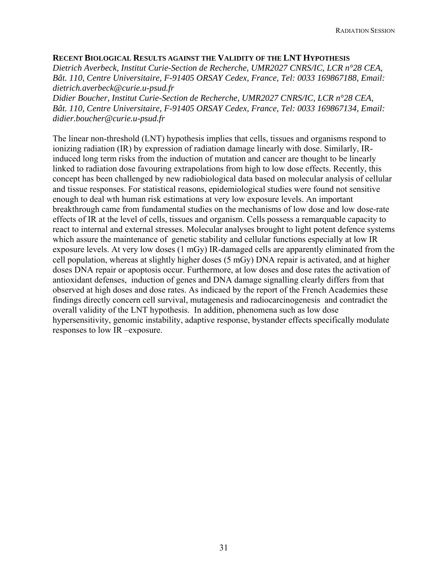#### **RECENT BIOLOGICAL RESULTS AGAINST THE VALIDITY OF THE LNT HYPOTHESIS**

*Dietrich Averbeck, Institut Curie-Section de Recherche, UMR2027 CNRS/IC, LCR n°28 CEA, Bât. 110, Centre Universitaire, F-91405 ORSAY Cedex, France, Tel: 0033 169867188, Email: dietrich.averbeck@curie.u-psud.fr* 

*Didier Boucher, Institut Curie-Section de Recherche, UMR2027 CNRS/IC, LCR n°28 CEA, Bât. 110, Centre Universitaire, F-91405 ORSAY Cedex, France, Tel: 0033 169867134, Email: didier.boucher@curie.u-psud.fr* 

The linear non-threshold (LNT) hypothesis implies that cells, tissues and organisms respond to ionizing radiation (IR) by expression of radiation damage linearly with dose. Similarly, IRinduced long term risks from the induction of mutation and cancer are thought to be linearly linked to radiation dose favouring extrapolations from high to low dose effects. Recently, this concept has been challenged by new radiobiological data based on molecular analysis of cellular and tissue responses. For statistical reasons, epidemiological studies were found not sensitive enough to deal wth human risk estimations at very low exposure levels. An important breakthrough came from fundamental studies on the mechanisms of low dose and low dose-rate effects of IR at the level of cells, tissues and organism. Cells possess a remarquable capacity to react to internal and external stresses. Molecular analyses brought to light potent defence systems which assure the maintenance of genetic stability and cellular functions especially at low IR exposure levels. At very low doses (1 mGy) IR-damaged cells are apparently eliminated from the cell population, whereas at slightly higher doses (5 mGy) DNA repair is activated, and at higher doses DNA repair or apoptosis occur. Furthermore, at low doses and dose rates the activation of antioxidant defenses, induction of genes and DNA damage signalling clearly differs from that observed at high doses and dose rates. As indicaed by the report of the French Academies these findings directly concern cell survival, mutagenesis and radiocarcinogenesis and contradict the overall validity of the LNT hypothesis. In addition, phenomena such as low dose hypersensitivity, genomic instability, adaptive response, bystander effects specifically modulate responses to low IR –exposure.